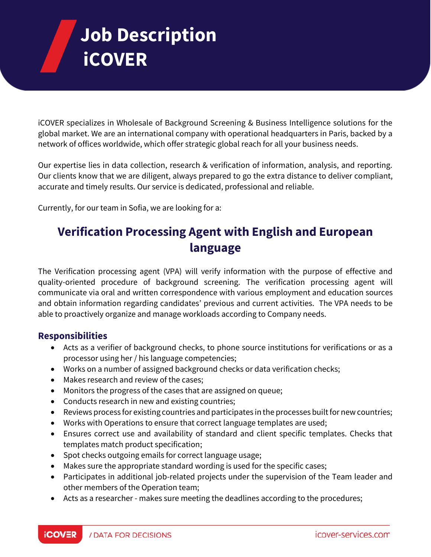# **Job Description iCOVER**

iCOVER specializes in Wholesale of Background Screening & Business Intelligence solutions for the global market. We are an international company with operational headquarters in Paris, backed by a network of offices worldwide, which offer strategic global reach for all your business needs.

Our expertise lies in data collection, research & verification of information, analysis, and reporting. Our clients know that we are diligent, always prepared to go the extra distance to deliver compliant, accurate and timely results. Our service is dedicated, professional and reliable.

Currently, for our team in Sofia, we are looking for a:

## **Verification Processing Agent with English and European language**

The Verification processing agent (VPA) will verify information with the purpose of effective and quality-oriented procedure of background screening. The verification processing agent will communicate via oral and written correspondence with various employment and education sources and obtain information regarding candidates' previous and current activities. The VPA needs to be able to proactively organize and manage workloads according to Company needs.

#### **Responsibilities**

- Acts as a verifier of background checks, to phone source institutions for verifications or as a processor using her / his language competencies;
- Works on a number of assigned background checks or data verification checks;
- Makes research and review of the cases;
- Monitors the progress of the cases that are assigned on queue;
- Conducts research in new and existing countries;
- Reviews process for existing countries and participates in the processes built for new countries;
- Works with Operations to ensure that correct language templates are used;
- Ensures correct use and availability of standard and client specific templates. Checks that templates match product specification;
- Spot checks outgoing emails for correct language usage;
- Makes sure the appropriate standard wording is used for the specific cases;
- Participates in additional job-related projects under the supervision of the Team leader and other members of the Operation team;
- Acts as a researcher makes sure meeting the deadlines according to the procedures;